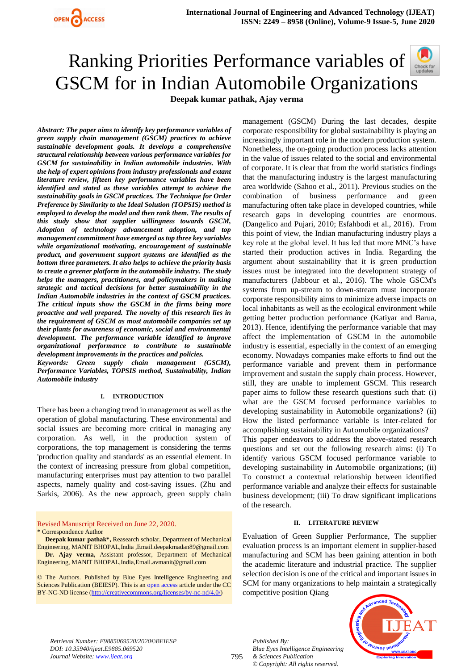



*Abstract: The paper aims to identify key performance variables of green supply chain management (GSCM) practices to achieve sustainable development goals. It develops a comprehensive structural relationship between various performance variables for GSCM for sustainability in Indian automobile industries. With the help of expert opinions from industry professionals and extant literature review, fifteen key performance variables have been identified and stated as these variables attempt to achieve the sustainability goals in GSCM practices. The Technique for Order Preference by Similarity to the Ideal Solution (TOPSIS) method is employed to develop the model and then rank them. The results of this study show that supplier willingness towards GSCM, Adoption of technology advancement adoption, and top management commitment have emerged as top three key variables while organizational motivating, encouragement of sustainable product, and government support systems are identified as the bottom three parameters. It also helps to achieve the priority basis to create a greener platform in the automobile industry. The study helps the managers, practitioners, and policymakers in making strategic and tactical decisions for better sustainability in the Indian Automobile industries in the context of GSCM practices. The critical inputs show the GSCM in the firms being more proactive and well prepared. The novelty of this research lies in the requirement of GSCM as most automobile companies set up their plants for awareness of economic, social and environmental development. The performance variable identified to improve organizational performance to contribute to sustainable development improvements in the practices and policies.*

*Keywords: Green supply chain management (GSCM), Performance Variables, TOPSIS method, Sustainability, Indian Automobile industry*

#### **I. INTRODUCTION**

There has been a changing trend in management as well as the operation of global manufacturing. These environmental and social issues are becoming more critical in managing any corporation. As well, in the production system of corporations, the top management is considering the terms 'production quality and standards' as an essential element. In the context of increasing pressure from global competition, manufacturing enterprises must pay attention to two parallel aspects, namely quality and cost-saving issues. (Zhu and Sarkis, 2006). As the new approach, green supply chain

Revised Manuscript Received on June 22, 2020. \* Correspondence Author

**Deepak kumar pathak\*,** Reasearch scholar, Department of Mechanical Engineering, MANIT BHOPAL,India ,Email.deepakmadan89@gmail.com **Dr. Ajay verma,** Assistant professor, Department of Mechanical Engineering, MANIT BHOPAL,India,Email.avmanit@gmail.com

© The Authors. Published by Blue Eyes Intelligence Engineering and Sciences Publication (BEIESP). This is an [open access](https://www.openaccess.nl/en/open-publications) article under the CC BY-NC-ND license [\(http://creativecommons.org/licenses/by-nc-nd/4.0/\)](http://creativecommons.org/licenses/by-nc-nd/4.0/)

management (GSCM) During the last decades, despite corporate responsibility for global sustainability is playing an increasingly important role in the modern production system. Nonetheless, the on-going production process lacks attention in the value of issues related to the social and environmental of corporate. It is clear that from the world statistics findings that the manufacturing industry is the largest manufacturing area worldwide (Sahoo et al., 2011). Previous studies on the combination of business performance and green manufacturing often take place in developed countries, while research gaps in developing countries are enormous. (Dangelico and Pujari, 2010; Esfahbodi et al., 2016). From this point of view, the Indian manufacturing industry plays a key role at the global level. It has led that more MNC's have started their production actives in India. Regarding the argument about sustainability that it is green production issues must be integrated into the development strategy of manufacturers (Jabbour et al., 2016). The whole GSCM's systems from up-stream to down-stream must incorporate corporate responsibility aims to minimize adverse impacts on local inhabitants as well as the ecological environment while getting better production performance (Katiyar and Barua, 2013). Hence, identifying the performance variable that may affect the implementation of GSCM in the automobile industry is essential, especially in the context of an emerging economy. Nowadays companies make efforts to find out the performance variable and prevent them in performance improvement and sustain the supply chain process. However, still, they are unable to implement GSCM. This research paper aims to follow these research questions such that: (i) what are the GSCM focused performance variables to developing sustainability in Automobile organizations? (ii) How the listed performance variable is inter-related for accomplishing sustainability in Automobile organizations?

This paper endeavors to address the above-stated research questions and set out the following research aims: (i) To identify various GSCM focused performance variable to developing sustainability in Automobile organizations; (ii) To construct a contextual relationship between identified performance variable and analyze their effects for sustainable business development; (iii) To draw significant implications of the research.

#### **II. LITERATURE REVIEW**

Evaluation of Green Supplier Performance, The supplier evaluation process is an important element in supplier-based manufacturing and SCM has been gaining attention in both the academic literature and industrial practice. The supplier selection decision is one of the critical and important issues in SCM for many organizations to help maintain a strategically competitive position Qiang

*Retrieval Number: E9885069520/2020©BEIESP DOI: 10.35940/ijeat.E9885.069520 Journal Website: www.ijeat.org*

795

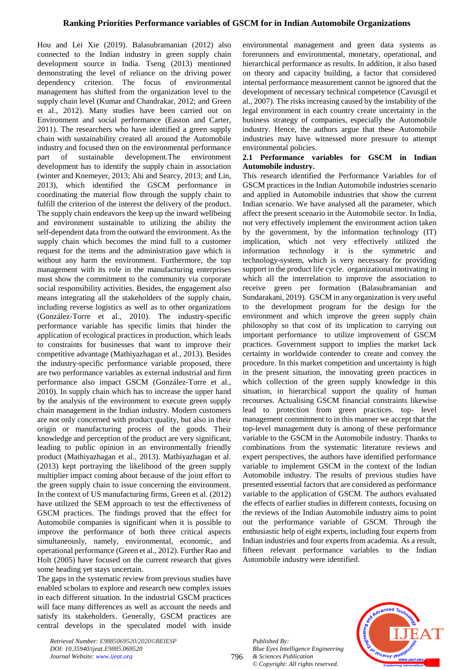## **Ranking Priorities Performance variables of GSCM for in Indian Automobile Organizations**

Hou and Lei Xie (2019). Balasubramanian (2012) also connected to the Indian industry in green supply chain development source in India. Tseng (2013) mentioned demonstrating the level of reliance on the driving power dependency criterion. The focus of environmental management has shifted from the organization level to the supply chain level (Kumar and Chandrakar, 2012; and Green et al., 2012). Many studies have been carried out on Environment and social performance (Easton and Carter, 2011). The researchers who have identified a green supply chain with sustainability created all around the Automobile industry and focused then on the environmental performance part of sustainable development.The environment development has to identify the supply chain in association (winter and Knemeyer, 2013; Ahi and Searcy, 2013; and Lin, 2013), which identified the GSCM performance in coordinating the material flow through the supply chain to fulfill the criterion of the interest the delivery of the product. The supply chain endeavors the keep up the inward wellbeing and environment sustainable to utilizing the ability the self-dependent data from the outward the environment. As the supply chain which becomes the mind full to a customer request for the items and the administration gave which is without any harm the environment. Furthermore, the top management with its role in the manufacturing enterprises must show the commitment to the community via corporate social responsibility activities. Besides, the engagement also means integrating all the stakeholders of the supply chain, including reverse logistics as well as to other organizations (González‐Torre et al., 2010). The industry-specific performance variable has specific limits that hinder the application of ecological practices in production, which leads to constraints for businesses that want to improve their competitive advantage (Mathiyazhagan et al., 2013). Besides the industry-specific performance variable proposed, there are two performance variables as external industrial and firm performance also impact GSCM (González‐Torre et al., 2010). In supply chain which has to increase the upper hand by the analysis of the environment to execute green supply chain management in the Indian industry. Modern customers are not only concerned with product quality, but also in their origin or manufacturing process of the goods. Their knowledge and perception of the product are very significant, leading to public opinion in an environmentally friendly product (Mathiyazhagan et al., 2013). Mathiyazhagan et al. (2013) kept portraying the likelihood of the green supply multiplier impact coming about because of the joint effort to the green supply chain to issue concerning the environment. In the context of US manufacturing firms, Green et al. (2012) have utilized the SEM approach to test the effectiveness of GSCM practices. The findings proved that the effect for Automobile companies is significant when it is possible to improve the performance of both three critical aspects simultaneously, namely, environmental, economic, and operational performance (Green et al., 2012). Further Rao and Holt (2005) have focused on the current research that gives some heading yet stays uncertain.

The gaps in the systematic review from previous studies have enabled scholars to explore and research new complex issues in each different situation. In the industrial GSCM practices will face many differences as well as account the needs and satisfy its stakeholders. Generally, GSCM practices are central develops in the speculated model with inside environmental management and green data systems as forerunners and environmental, monetary, operational, and hierarchical performance as results. In addition, it also based on theory and capacity building, a factor that considered internal performance measurement cannot be ignored that the development of necessary technical competence (Cavusgil et al., 2007). The risks increasing caused by the instability of the legal environment in each country create uncertainty in the business strategy of companies, especially the Automobile industry. Hence, the authors argue that these Automobile industries may have witnessed more pressure to attempt environmental policies.

#### **2.1 Performance variables for GSCM in Indian Automobile industry.**

This research identified the Performance Variables for of GSCM practices in the Indian Automobile industries scenario and applied in Automobile industries that show the current Indian scenario. We have analysed all the parameter, which affect the present scenario in the Automobile sector. In India, not very effectively implement the environment action taken by the government, by the information technology (IT) implication, which not very effectively utilized the information technology it is the symmetric and technology-system, which is very necessary for providing support in the product life cycle. organizational motivating in which all the interrelation to improve the association to receive green per formation (Balasubramanian and Sundarakani, 2019). GSCM in any organization is very useful to the development program for the design for the environment and which improve the green supply chain philosophy so that cost of its implication to carrying out important performance to utilize improvement of GSCM practices. Government support to implies the market lack certainty in worldwide contender to create and convey the procedure. In this market competition and uncertainty is high in the present situation, the innovating green practices in which collection of the green supply knowledge in this situation, in hierarchical support the quality of human recourses. Actualising GSCM financial constraints likewise lead to protection from green practices. top- level management commitment to in this manner we accept that the top-level management duty is among of these performance variable to the GSCM in the Automobile industry. Thanks to combinations from the systematic literature reviews and expert perspectives, the authors have identified performance variable to implement GSCM in the context of the Indian Automobile industry. The results of previous studies have presented essential factors that are considered as performance variable to the application of GSCM. The authors evaluated the effects of earlier studies in different contexts, focusing on the reviews of the Indian Automobile industry aims to point out the performance variable of GSCM. Through the enthusiastic help of eight experts, including four experts from Indian industries and four experts from academia. As a result, fifteen relevant performance variables to the Indian Automobile industry were identified.

*Published By: Blue Eyes Intelligence Engineering & Sciences Publication © Copyright: All rights reserved.*

796



*Retrieval Number: E9885069520/2020©BEIESP DOI: 10.35940/ijeat.E9885.069520 Journal Website: www.ijeat.org*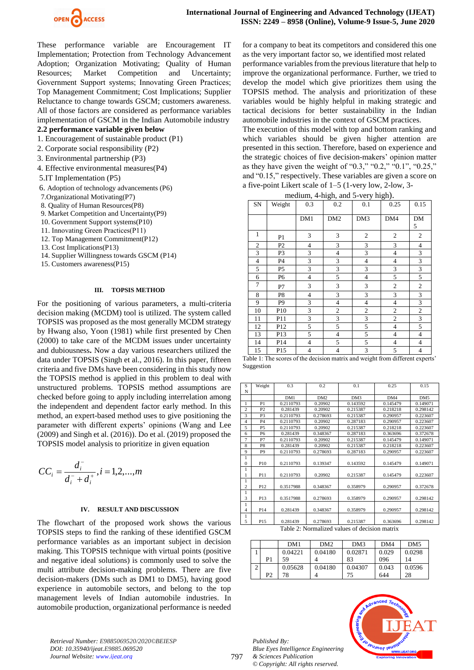

These performance variable are Encouragement IT Implementation; Protection from Technology Advancement Adoption; Organization Motivating; Quality of Human Resources; Market Competition and Uncertainty; Government Support systems; Innovating Grееn Practices; Top Management Commitment; Cost Implications; Supplier Reluctance to change towards GSCM; customers awareness. All of those factors are considered as performance variables implementation of GSCM in the Indian Automobile industry

# **2.2 performance variable given below**

- 1. Encouragement of sustainable product (P1)
- 2. Corporate social responsibility (P2)
- 3. Environmental partnership (P3)
- 4. Effective environmental measures(P4)
- 5.IT Implementation (P5)
- 6. Adoption of technology advancements (P6)
- 7.Organizational Motivating(P7)
- 8. Quality of Human Resources(P8)
- 9. Market Competition and Uncertainty(P9)
- 10. Government Support systems(P10)
- 11. Innovating Grееn Practices(P11)
- 12. Top Management Commitment(P12)
- 13. Cost Implications(P13)
- 14. Supplier Willingness towards GSCM (P14)
- 15. Customers awareness(P15)

#### **III. TOPSIS METHOD**

For the positioning of various parameters, a multi-criteria decision making (MCDM) tool is utilized. The system called TOPSIS was proposed as the most generally MCDM strategy by Hwang also, Yoon (1981) while first presented by Chen (2000) to take care of the MCDM issues under uncertainty and dubiousness**.** Now a day various researchers utilized the data under TOPSIS (Singh et al., 2016). In this paper, fifteen criteria and five DMs have been considering in this study now the TOPSIS method is applied in this problem to deal with unstructured problems. TOPSIS method assumptions are checked before going to apply including interrelation among the independent and dependent factor early method. In this method, an expert-based method uses to give positioning the parameter with different experts' opinions (Wang and Lee (2009) and Singh et al. (2016)). Do et al. (2019) proposed the TOPSIS model analysis to prioritize in given equation

$$
CC_i = \frac{d_i^-}{d_i^- + d_i^+}, i = 1, 2, ..., m
$$

### **IV. RESULT AND DISCUSSION**

The flowchart of the proposed work shows the various TOPSIS steps to find the ranking of these identified GSCM performance variables as an important subject in decision making. This TOPSIS technique with virtual points (positive and negative ideal solutions) is commonly used to solve the multi attribute decision-making problems. There are five decision-makers (DMs such as DM1 to DM5), having good experience in automobile sectors, and belong to the top management levels of Indian automobile industries. In automobile production, organizational performance is needed for a company to beat its competitors and considered this one as the very important factor so, we identified most related performance variables from the previous literature that help to improve the organizational performance. Further, we tried to develop the model which give prioritizes them using the TOPSIS method. The analysis and prioritization of these variables would be highly helpful in making strategic and tactical decisions for better sustainability in the Indian automobile industries in the context of GSCM practices.

The execution of this model with top and bottom ranking and which variables should be given higher attention are presented in this section. Therefore, based on experience and the strategic choices of five decision-makers' opinion matter as they have given the weight of "0.3," "0.2," "0.1", "0.25," and "0.15," respectively. These variables are given a score on a five-point Likert scale of 1–5 (1-very low, 2-low, 3-

medium, 4-high, and 5-very high).

| $m_{\rm g}$ means $m_{\rm g}$ , and $v$ -very mgm/. |                |                |                  |                         |                  |                             |  |
|-----------------------------------------------------|----------------|----------------|------------------|-------------------------|------------------|-----------------------------|--|
| SN                                                  | Weight         | 0.3            | 0.2              | 0.1                     | 0.25             | 0.15                        |  |
|                                                     |                | DM1            | DM <sub>2</sub>  | DM3                     | DM4              | DM<br>5                     |  |
| 1                                                   | P1             | 3              | 3                | $\boldsymbol{2}$        | $\boldsymbol{2}$ | $\overline{c}$              |  |
| $\mathfrak{2}$                                      | P2             | $\overline{4}$ | 3                | 3                       | 3                | $\overline{\mathbf{4}}$     |  |
| 3                                                   | P3             | 3              | $\overline{4}$   | 3                       | 4                | $\ensuremath{\mathfrak{Z}}$ |  |
| $\overline{4}$                                      | P4             | 3              | $\sqrt{3}$       | 4                       | 4                | $\mathfrak{Z}$              |  |
| 5                                                   | P <sub>5</sub> | 3              | $\mathfrak z$    | 3                       | $\mathfrak{Z}$   | $\ensuremath{\mathfrak{Z}}$ |  |
| 6                                                   | P6             | $\overline{4}$ | 5                | $\overline{4}$          | 5                | 5                           |  |
| 7                                                   | P7             | 3              | 3                | 3                       | $\mathfrak{2}$   | $\mathfrak{2}$              |  |
| 8                                                   | P8             | $\overline{4}$ | $\sqrt{3}$       | 3                       | $\mathfrak{Z}$   | $\ensuremath{\mathfrak{Z}}$ |  |
| 9                                                   | P <sub>9</sub> | 3              | $\overline{4}$   | $\overline{4}$          | $\overline{4}$   | $\mathfrak{Z}$              |  |
| 10                                                  | P10            | $\mathfrak{Z}$ | $\boldsymbol{2}$ | $\mathfrak{2}$          | $\sqrt{2}$       | $\sqrt{2}$                  |  |
| 11                                                  | P11            | 3              | 3                | $\overline{\mathbf{3}}$ | $\overline{c}$   | 3                           |  |
| 12                                                  | P12            | 5              | 5                | 5                       | $\overline{4}$   | 5                           |  |
| 13                                                  | P13            | 5              | $\overline{4}$   | 5                       | $\overline{4}$   | $\overline{4}$              |  |
| 14                                                  | P14            | $\overline{4}$ | 5                | 5                       | $\overline{4}$   | $\overline{\mathcal{L}}$    |  |
| 15                                                  | P15            | $\overline{4}$ | $\overline{4}$   | 3                       | 5                | $\overline{4}$              |  |

Table 1: The scores of the decision matrix and weight from different experts' Suggestion

| S              | Weight          | 0.3       | 0.2             | 0.1      | 0.25     | 0.15            |
|----------------|-----------------|-----------|-----------------|----------|----------|-----------------|
| N              |                 |           |                 |          |          |                 |
|                |                 | DM1       | DM <sub>2</sub> | DM3      | DM4      | DM <sub>5</sub> |
| 1              | P <sub>1</sub>  | 0.2110793 | 0.20902         | 0.143592 | 0.145479 | 0.149071        |
| $\overline{c}$ | P <sub>2</sub>  | 0.281439  | 0.20902         | 0.215387 | 0.218218 | 0.298142        |
| 3              | P3              | 0.2110793 | 0.278693        | 0.215387 | 0.290957 | 0.223607        |
| 4              | <b>P4</b>       | 0.2110793 | 0.20902         | 0.287183 | 0.290957 | 0.223607        |
| 5              | <b>P5</b>       | 0.2110793 | 0.20902         | 0.215387 | 0.218218 | 0.223607        |
| 6              | P <sub>6</sub>  | 0.281439  | 0.348367        | 0.287183 | 0.363696 | 0.372678        |
| 7              | P7              | 0.2110793 | 0.20902         | 0.215387 | 0.145479 | 0.149071        |
| 8              | P <sub>8</sub>  | 0.281439  | 0.20902         | 0.215387 | 0.218218 | 0.223607        |
| 9              | P <sub>9</sub>  | 0.2110793 | 0.278693        | 0.287183 | 0.290957 | 0.223607        |
| 1              |                 |           |                 |          |          |                 |
| $\Omega$       | P10             | 0.2110793 | 0.139347        | 0.143592 | 0.145479 | 0.149071        |
| 1              |                 |           |                 |          |          |                 |
| 1              | P11             | 0.2110793 | 0.20902         | 0.215387 | 0.145479 | 0.223607        |
| 1              |                 |           |                 |          |          |                 |
| $\overline{c}$ | P <sub>12</sub> | 0.3517988 | 0.348367        | 0.358979 | 0.290957 | 0.372678        |
| 1              |                 |           |                 |          |          |                 |
| 3              | P13             | 0.3517988 | 0.278693        | 0.358979 | 0.290957 | 0.298142        |
| 1              |                 |           |                 |          |          |                 |
| 4              | P <sub>14</sub> | 0.281439  | 0.348367        | 0.358979 | 0.290957 | 0.298142        |
| 1              |                 |           |                 |          |          |                 |
| 5              | P <sub>15</sub> | 0.281439  | 0.278693        | 0.215387 | 0.363696 | 0.298142        |

Table 2: Normalized values of decision matrix

|                | DM1     | DM2     | DM3     | DM4   | DM <sub>5</sub> |
|----------------|---------|---------|---------|-------|-----------------|
|                | 0.04221 | 0.04180 | 0.02871 | 0.029 | 0.0298          |
| P <sub>1</sub> | 59      |         | 83      | 096   | 14              |
|                | 0.05628 | 0.04180 | 0.04307 | 0.043 | 0.0596          |
| P2             | 78      |         | 75      | 644   | 28              |

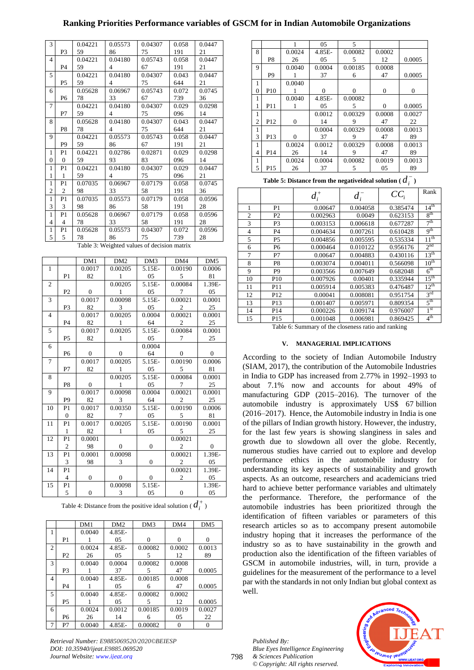# **Ranking Priorities Performance variables of GSCM for in Indian Automobile Organizations**

| 3              |                                             | 0.04221 | 0.05573        | 0.04307 | 0.058 | 0.0447 |  |  |
|----------------|---------------------------------------------|---------|----------------|---------|-------|--------|--|--|
|                | P <sub>3</sub>                              | 59      | 86             | 75      | 191   | 21     |  |  |
| $\overline{4}$ |                                             | 0.04221 | 0.04180        | 0.05743 | 0.058 | 0.0447 |  |  |
|                | P <sub>4</sub>                              | 59      | 4              | 67      | 191   | 21     |  |  |
| 5              |                                             | 0.04221 | 0.04180        | 0.04307 | 0.043 | 0.0447 |  |  |
|                | <b>P5</b>                                   | 59      | 4              | 75      | 644   | 21     |  |  |
| 6              |                                             | 0.05628 | 0.06967        | 0.05743 | 0.072 | 0.0745 |  |  |
|                | P <sub>6</sub>                              | 78      | 33             | 67      | 739   | 36     |  |  |
| 7              |                                             | 0.04221 | 0.04180        | 0.04307 | 0.029 | 0.0298 |  |  |
|                | P7                                          | 59      | 4              | 75      | 096   | 14     |  |  |
| 8              |                                             | 0.05628 | 0.04180        | 0.04307 | 0.043 | 0.0447 |  |  |
|                | P <sub>8</sub>                              | 78      | $\overline{4}$ | 75      | 644   | 21     |  |  |
| 9              |                                             | 0.04221 | 0.05573        | 0.05743 | 0.058 | 0.0447 |  |  |
|                | P <sub>9</sub>                              | 59      | 86             | 67      | 191   | 21     |  |  |
| 1              | P1                                          | 0.04221 | 0.02786        | 0.02871 | 0.029 | 0.0298 |  |  |
| $\overline{0}$ | $\overline{0}$                              | 59      | 93             | 83      | 096   | 14     |  |  |
| 1              | P <sub>1</sub>                              | 0.04221 | 0.04180        | 0.04307 | 0.029 | 0.0447 |  |  |
| $\mathbf{1}$   | 1                                           | 59      | 4              | 75      | 096   | 21     |  |  |
| 1              | P <sub>1</sub>                              | 0.07035 | 0.06967        | 0.07179 | 0.058 | 0.0745 |  |  |
| $\mathfrak{2}$ | $\mathfrak{2}$                              | 98      | 33             | 58      | 191   | 36     |  |  |
| $\mathbf{1}$   | P <sub>1</sub>                              | 0.07035 | 0.05573        | 0.07179 | 0.058 | 0.0596 |  |  |
| 3              | 3                                           | 98      | 86             | 58      | 191   | 28     |  |  |
| 1              | P <sub>1</sub>                              | 0.05628 | 0.06967        | 0.07179 | 0.058 | 0.0596 |  |  |
| 4              | $\overline{4}$                              | 78      | 33             | 58      | 191   | 28     |  |  |
| 1              | P1                                          | 0.05628 | 0.05573        | 0.04307 | 0.072 | 0.0596 |  |  |
| 5              | 5                                           | 78      | 86             | 75      | 739   | 28     |  |  |
|                | Table 3: Weighted values of decision matrix |         |                |         |       |        |  |  |

|                |                | DM1            | DM <sub>2</sub> | DM3              | DM4            | DM <sub>5</sub> |
|----------------|----------------|----------------|-----------------|------------------|----------------|-----------------|
| $\mathbf{1}$   |                | 0.0017         | 0.00205         | 5.15E-           | 0.00190        | 0.0006          |
|                | P <sub>1</sub> | 82             | $\mathbf{1}$    | 05               | 5              | 81              |
| $\overline{2}$ |                |                | 0.00205         | 5.15E-           | 0.00084        | 1.39E-          |
|                | P <sub>2</sub> | $\overline{0}$ | $\mathbf{1}$    | 05               | $\tau$         | 05              |
| 3              |                | 0.0017         | 0.00098         | 5.15E-           | 0.00021        | 0.0001          |
|                | P <sub>3</sub> | 82             | 3               | 05               | 2              | 25              |
| $\overline{4}$ |                | 0.0017         | 0.00205         | 0.0004           | 0.00021        | 0.0001          |
|                | P <sub>4</sub> | 82             | 1               | 64               | $\overline{c}$ | 25              |
| 5              |                | 0.0017         | 0.00205         | 5.15E-           | 0.00084        | 0.0001          |
|                | P <sub>5</sub> | 82             | $\mathbf{1}$    | 05               | 7              | 25              |
| 6              |                |                |                 | 0.0004           |                |                 |
|                | <b>P6</b>      | $\Omega$       | $\Omega$        | 64               | $\mathbf{0}$   | $\Omega$        |
| $\overline{7}$ |                | 0.0017         | 0.00205         | 5.15E-           | 0.00190        | 0.0006          |
|                | P7             | 82             | $\mathbf{1}$    | $05\,$           | 5              | 81              |
| 8              |                |                | 0.00205         | 5.15E-           | 0.00084        | 0.0001          |
|                | P <sub>8</sub> | $\overline{0}$ | $\mathbf{1}$    | 05               | $\tau$         | 25              |
| 9              |                | 0.0017         | 0.00098         | 0.0004           | 0.00021        | 0.0001          |
|                | P <sub>9</sub> | 82             | 3               | 64               | $\overline{c}$ | 25              |
| 10             | P1             | 0.0017         | 0.00350         | 5.15E-           | 0.00190        | 0.0006          |
|                | $\mathbf{0}$   | 82             | $\overline{7}$  | 05               | 5              | 81              |
| 11             | P <sub>1</sub> | 0.0017         | 0.00205         | 5.15E-           | 0.00190        | 0.0001          |
|                | $\mathbf{1}$   | 82             | 1               | 05               | 5              | 25              |
| 12             | P <sub>1</sub> | 0.0001         |                 |                  | 0.00021        |                 |
|                | $\overline{c}$ | 98             | $\mathbf{0}$    | $\boldsymbol{0}$ | $\overline{2}$ | $\mathbf{0}$    |
| 13             | P1             | 0.0001         | 0.00098         |                  | 0.00021        | 1.39E-          |
|                | 3              | 98             | 3               | $\boldsymbol{0}$ | 2              | 05              |
| 14             | P1             |                |                 |                  | 0.00021        | 1.39E-          |
|                | 4              | $\mathbf{0}$   | $\mathbf{0}$    | $\boldsymbol{0}$ | 2              | 05              |
| 15             | P1             |                | 0.00098         | 5.15E-           |                | 1.39E-          |
|                | 5              | $\overline{0}$ | 3               | 05               | $\overline{0}$ | 05              |

| Table 4: Distance from the positive ideal solution ( $d_i^+$ ) |
|----------------------------------------------------------------|
|                                                                |

|                |                | DM1    | DM <sub>2</sub> | DM3     | DM4      | DM <sub>5</sub> |
|----------------|----------------|--------|-----------------|---------|----------|-----------------|
| 1              |                | 0.0040 | 4.85E-          |         |          |                 |
|                | P1             |        | 05              | 0       | $\Omega$ | $\Omega$        |
| $\overline{c}$ |                | 0.0024 | 4.85E-          | 0.00082 | 0.0002   | 0.0013          |
|                | P <sub>2</sub> | 26     | 05              | 5       | 12       | 89              |
| 3              |                | 0.0040 | 0.0004          | 0.00082 | 0.0008   |                 |
|                | P3             |        | 37              | 5       | 47       | 0.0005          |
| 4              |                | 0.0040 | 4.85E-          | 0.00185 | 0.0008   |                 |
|                | <b>P4</b>      |        | 05              | 6       | 47       | 0.0005          |
| $\overline{5}$ |                | 0.0040 | 4.85E-          | 0.00082 | 0.0002   |                 |
|                | P <sub>5</sub> |        | 05              | 5       | 12       | 0.0005          |
| 6              |                | 0.0024 | 0.0012          | 0.00185 | 0.0019   | 0.0027          |
|                | P <sub>6</sub> | 26     | 14              | 6       | 05       | 22              |
| 7              | P7             | 0.0040 | 4.85E-          | 0.00082 | 0        |                 |

*Retrieval Number: E9885069520/2020©BEIESP DOI: 10.35940/ijeat.E9885.069520 Journal Website: www.ijeat.org*

|                |                 | 1        | 05            | 5       |          |          |
|----------------|-----------------|----------|---------------|---------|----------|----------|
| 8              |                 | 0.0024   | 4.85E-        | 0.00082 | 0.0002   |          |
|                | P8              | 26       | $0.5^{\circ}$ | 5       | 12       | 0.0005   |
| 9              |                 | 0.0040   | 0.0004        | 0.00185 | 0.0008   |          |
|                | P <sub>9</sub>  |          | 37            | 6       | 47       | 0.0005   |
| 1              |                 | 0.0040   |               |         |          |          |
| $\theta$       | P <sub>10</sub> |          | $\Omega$      | 0       | $\theta$ | $\Omega$ |
| 1              |                 | 0.0040   | 4.85E-        | 0.00082 |          |          |
|                | P <sub>11</sub> | ı        | $0.5^{\circ}$ | 5       | $\Omega$ | 0.0005   |
| 1              |                 |          | 0.0012        | 0.00329 | 0.0008   | 0.0027   |
| $\overline{c}$ | P <sub>12</sub> | $\Omega$ | 14            | 9       | 47       | 22       |
| 1              |                 |          | 0.0004        | 0.00329 | 0.0008   | 0.0013   |
| 3              | P <sub>13</sub> | $\Omega$ | 37            | 9       | 47       | 89       |
| 1              |                 | 0.0024   | 0.0012        | 0.00329 | 0.0008   | 0.0013   |
| 4              | P <sub>14</sub> | 26       | 14            | 9       | 47       | 89       |
| 1              |                 | 0.0024   | 0.0004        | 0.00082 | 0.0019   | 0.0013   |
| 5              | P <sub>15</sub> | 26       | 37            | 5       | 05       | 89       |

| Table 5: Distance from the negativeideal solution ( $d_i^{\,-}$ ) |  |
|-------------------------------------------------------------------|--|
|                                                                   |  |

|                |                 | $d_i^+$  | $d_i^-$  | $CC_i$   | Rank             |
|----------------|-----------------|----------|----------|----------|------------------|
| 1              | P1              | 0.00647  | 0.004058 | 0.385474 | 14 <sup>th</sup> |
| $\overline{2}$ | P2              | 0.002963 | 0.0049   | 0.623153 | 8 <sup>th</sup>  |
| 3              | P <sub>3</sub>  | 0.003153 | 0.006618 | 0.677287 | 7 <sup>th</sup>  |
| $\overline{4}$ | P <sub>4</sub>  | 0.004634 | 0.007261 | 0.610428 | q <sup>th</sup>  |
| 5              | P <sub>5</sub>  | 0.004856 | 0.005595 | 0.535334 | 11 <sup>th</sup> |
| 6              | P <sub>6</sub>  | 0.000464 | 0.010122 | 0.956176 | 2 <sub>nd</sub>  |
| 7              | P7              | 0.00647  | 0.004883 | 0.430116 | 13 <sup>th</sup> |
| 8              | P8              | 0.003074 | 0.004011 | 0.566098 | 10 <sup>th</sup> |
| 9              | P9              | 0.003566 | 0.007649 | 0.682048 | 6 <sup>th</sup>  |
| 10             | P <sub>10</sub> | 0.007926 | 0.00401  | 0.335944 | 15 <sup>th</sup> |
| 11             | P11             | 0.005914 | 0.005383 | 0.476487 | $12^{th}$        |
| 12             | P <sub>12</sub> | 0.00041  | 0.008081 | 0.951754 | 3 <sup>rd</sup>  |
| 13             | P13             | 0.001407 | 0.005971 | 0.809354 | 5 <sup>th</sup>  |
| 14             | P <sub>14</sub> | 0.000226 | 0.009174 | 0.976007 | 1 <sup>st</sup>  |
| 15             | P <sub>15</sub> | 0.001048 | 0.006981 | 0.869425 | 4 <sup>th</sup>  |

Table 6: Summary of the closeness ratio and ranking

#### **V. MANAGERIAL IMPLICATIONS**

According to the society of Indian Automobile Industry (SIAM, 2017), the contribution of the Automobile Industries in India to GDP has increased from 2.77% in 1992–1993 to about 7.1% now and accounts for about 49% of manufacturing GDP (2015–2016). The turnover of the automobile industry is approximately US\$ 67 billion (2016–2017). Hence, the Automobile industry in India is one of the pillars of Indian growth history. However, the industry, for the last few years is showing slanginess in sales and growth due to slowdown all over the globe. Recently, numerous studies have carried out to explore and develop performance ethics in the automobile industry for understanding its key aspects of sustainability and growth aspects. As an outcome, researchers and academicians tried hard to achieve better performance variables and ultimately the performance. Therefore, the performance of the automobile industries has been prioritized through the identification of fifteen variables or parameters of this research articles so as to accompany present automobile industry hoping that it increases the performance of the industry so as to have sustainability in the growth and production also the identification of the fifteen variables of GSCM in automobile industries, will, in turn, provide a guidelines for the measurement of the performance to a level par with the standards in not only Indian but global context as well.